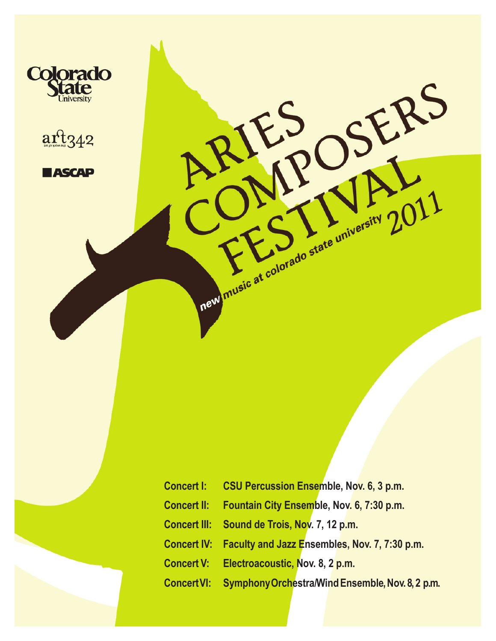



**HASCAP** 

|                    | Concert I: CSU Percussion Ensemble, Nov. 6, 3 p.m.        |  |  |  |  |
|--------------------|-----------------------------------------------------------|--|--|--|--|
| <b>Concert II:</b> | Fountain City Ensemble, Nov. 6, 7:30 p.m.                 |  |  |  |  |
|                    | Concert III: Sound de Trois, Nov. 7, 12 p.m.              |  |  |  |  |
|                    | Concert IV: Faculty and Jazz Ensembles, Nov. 7, 7:30 p.m. |  |  |  |  |
| <b>Concert V:</b>  | Electroacoustic, Nov. 8, 2 p.m.                           |  |  |  |  |
| <b>Concert VI:</b> | Symphony Orchestra Wind Ensemble, Nov. 8, 2 p.m.          |  |  |  |  |

SERS

 $\bigcap$ 

The Strate university 2011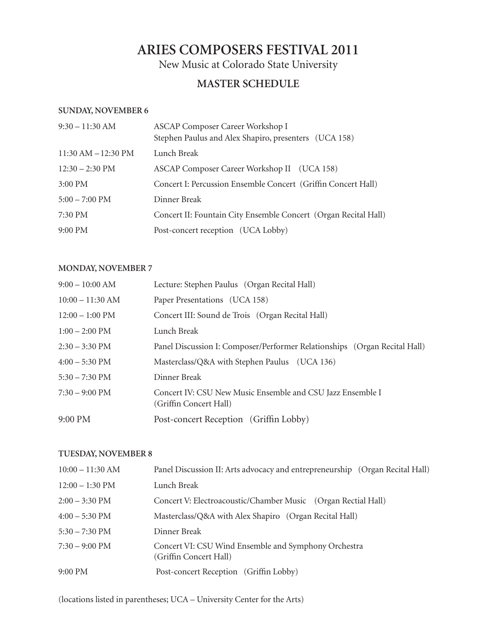# **Aries Composers Festival 2011**

New Music at Colorado State University

# **Master Schedule**

### **Sunday, November 6**

| $9:30 - 11:30$ AM         | ASCAP Composer Career Workshop I<br>Stephen Paulus and Alex Shapiro, presenters (UCA 158) |
|---------------------------|-------------------------------------------------------------------------------------------|
| $11:30$ AM $-12:30$ PM    | Lunch Break                                                                               |
| $12:30 - 2:30 \text{ PM}$ | ASCAP Composer Career Workshop II (UCA 158)                                               |
| $3:00$ PM                 | Concert I: Percussion Ensemble Concert (Griffin Concert Hall)                             |
| $5:00 - 7:00$ PM          | Dinner Break                                                                              |
| 7:30 PM                   | Concert II: Fountain City Ensemble Concert (Organ Recital Hall)                           |
| 9:00 PM                   | Post-concert reception (UCA Lobby)                                                        |

# **Monday, November 7**

| $9:00 - 10:00$ AM         | Lecture: Stephen Paulus (Organ Recital Hall)                                         |  |  |  |
|---------------------------|--------------------------------------------------------------------------------------|--|--|--|
| $10:00 - 11:30$ AM        | Paper Presentations (UCA 158)                                                        |  |  |  |
| $12:00 - 1:00 \text{ PM}$ | Concert III: Sound de Trois (Organ Recital Hall)                                     |  |  |  |
| $1:00 - 2:00$ PM          | Lunch Break                                                                          |  |  |  |
| $2:30 - 3:30 \text{ PM}$  | Panel Discussion I: Composer/Performer Relationships (Organ Recital Hall)            |  |  |  |
| $4:00 - 5:30$ PM          | Masterclass/Q&A with Stephen Paulus (UCA 136)                                        |  |  |  |
| $5:30 - 7:30 \text{ PM}$  | Dinner Break                                                                         |  |  |  |
| $7:30 - 9:00 \text{ PM}$  | Concert IV: CSU New Music Ensemble and CSU Jazz Ensemble I<br>(Griffin Concert Hall) |  |  |  |
| 9:00 PM                   | Post-concert Reception (Griffin Lobby)                                               |  |  |  |
|                           |                                                                                      |  |  |  |

# **Tuesday, November 8**

| $10:00 - 11:30$ AM       | Panel Discussion II: Arts advocacy and entrepreneurship (Organ Recital Hall)   |  |  |  |  |
|--------------------------|--------------------------------------------------------------------------------|--|--|--|--|
| $12:00 - 1:30$ PM        | Lunch Break                                                                    |  |  |  |  |
| $2:00 - 3:30 \text{ PM}$ | Concert V: Electroacoustic/Chamber Music (Organ Rectial Hall)                  |  |  |  |  |
| $4:00 - 5:30$ PM         | Masterclass/Q&A with Alex Shapiro (Organ Recital Hall)                         |  |  |  |  |
| $5:30 - 7:30 \text{ PM}$ | Dinner Break                                                                   |  |  |  |  |
| $7:30 - 9:00 \text{ PM}$ | Concert VI: CSU Wind Ensemble and Symphony Orchestra<br>(Griffin Concert Hall) |  |  |  |  |
| 9:00 PM                  | Post-concert Reception (Griffin Lobby)                                         |  |  |  |  |

(locations listed in parentheses; UCA – University Center for the Arts)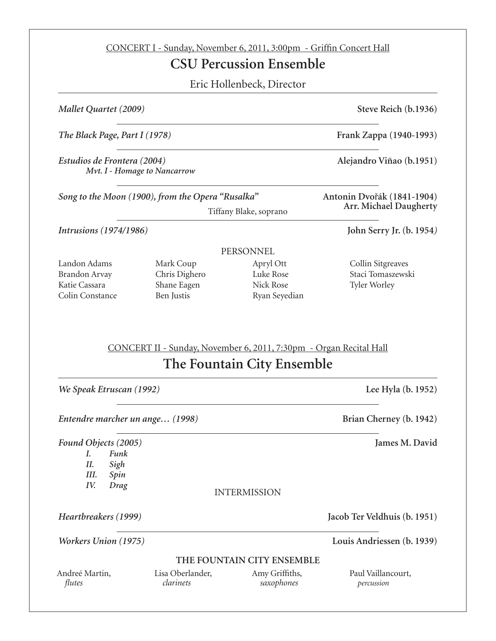|                                                                                                                                                                                                      |            | <b>CSU Percussion Ensemble</b>                                                                   |                                                                                                                                     |  |                                                |                                           |                                     |                                                        |
|------------------------------------------------------------------------------------------------------------------------------------------------------------------------------------------------------|------------|--------------------------------------------------------------------------------------------------|-------------------------------------------------------------------------------------------------------------------------------------|--|------------------------------------------------|-------------------------------------------|-------------------------------------|--------------------------------------------------------|
|                                                                                                                                                                                                      |            | Eric Hollenbeck, Director                                                                        |                                                                                                                                     |  |                                                |                                           |                                     |                                                        |
| Mallet Quartet (2009)<br>The Black Page, Part I (1978)<br>Estudios de Frontera (2004)<br>Mvt. I - Homage to Nancarrow<br>Song to the Moon (1900), from the Opera "Rusalka"<br>Tiffany Blake, soprano |            |                                                                                                  | Steve Reich (b.1936)<br>Frank Zappa (1940-1993)<br>Alejandro Viñao (b.1951)<br>Antonin Dvořák (1841-1904)<br>Arr. Michael Daugherty |  |                                                |                                           |                                     |                                                        |
|                                                                                                                                                                                                      |            |                                                                                                  |                                                                                                                                     |  | <i>Intrusions</i> (1974/1986)                  |                                           |                                     | John Serry Jr. (b. 1954)                               |
|                                                                                                                                                                                                      |            |                                                                                                  |                                                                                                                                     |  |                                                |                                           | PERSONNEL                           |                                                        |
|                                                                                                                                                                                                      |            |                                                                                                  |                                                                                                                                     |  | Landon Adams<br>Brandon Arvay<br>Katie Cassara | Mark Coup<br>Chris Dighero<br>Shane Eagen | Apryl Ott<br>Luke Rose<br>Nick Rose | Collin Sitgreaves<br>Staci Tomaszewski<br>Tyler Worley |
|                                                                                                                                                                                                      | Ben Justis | Ryan Seyedian                                                                                    |                                                                                                                                     |  |                                                |                                           |                                     |                                                        |
| We Speak Etruscan (1992)                                                                                                                                                                             |            | CONCERT II - Sunday, November 6, 2011, 7:30pm - Organ Recital Hall<br>The Fountain City Ensemble |                                                                                                                                     |  |                                                |                                           |                                     |                                                        |
|                                                                                                                                                                                                      |            |                                                                                                  |                                                                                                                                     |  |                                                |                                           |                                     |                                                        |
| Funk<br>L.<br>Sigh<br>П.<br>Ш.<br>Spin<br>IV.<br>Drag                                                                                                                                                |            |                                                                                                  |                                                                                                                                     |  |                                                |                                           |                                     |                                                        |
|                                                                                                                                                                                                      |            | <b>INTERMISSION</b>                                                                              |                                                                                                                                     |  |                                                |                                           |                                     |                                                        |
|                                                                                                                                                                                                      |            |                                                                                                  |                                                                                                                                     |  |                                                |                                           |                                     |                                                        |
| Colin Constance<br>Entendre marcher un ange (1998)<br>Found Objects (2005)<br>Heartbreakers (1999)<br>Workers Union (1975)                                                                           |            | THE FOUNTAIN CITY ENSEMBLE                                                                       | Lee Hyla (b. 1952)<br>Brian Cherney (b. 1942)<br>James M. David<br>Jacob Ter Veldhuis (b. 1951)<br>Louis Andriessen (b. 1939)       |  |                                                |                                           |                                     |                                                        |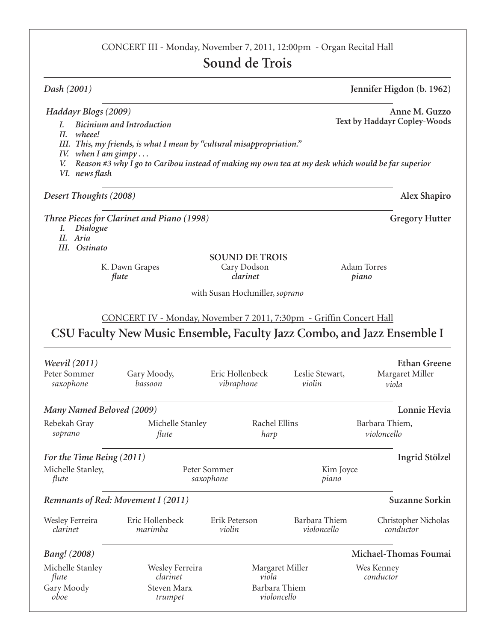# CONCERT III - Monday, November 7, 2011, 12:00pm - Organ Recital Hall

# **Sound de Trois**

| Dash (2001)                                                                                                                                                                      |                                                                                                           |                                                          |                              | Jennifer Higdon (b. 1962)                       |  |
|----------------------------------------------------------------------------------------------------------------------------------------------------------------------------------|-----------------------------------------------------------------------------------------------------------|----------------------------------------------------------|------------------------------|-------------------------------------------------|--|
| Haddayr Blogs (2009)<br>$\overline{L}$<br>II.<br>wheee!<br>IV. when I am gimpy<br>V.                                                                                             | <b>Bicinium and Introduction</b><br>III. This, my friends, is what I mean by "cultural misappropriation." |                                                          |                              | Anne M. Guzzo<br>Text by Haddayr Copley-Woods   |  |
| Reason #3 why I go to Caribou instead of making my own tea at my desk which would be far superior<br>VI. news flash<br>Alex Shapiro<br>Desert Thoughts (2008)                    |                                                                                                           |                                                          |                              |                                                 |  |
| Dialogue<br>Ι.                                                                                                                                                                   | Three Pieces for Clarinet and Piano (1998)                                                                |                                                          |                              | <b>Gregory Hutter</b>                           |  |
| Aria<br>II.<br>III. Ostinato<br>flute                                                                                                                                            | K. Dawn Grapes                                                                                            | <b>SOUND DE TROIS</b><br>Cary Dodson<br>clarinet         |                              | <b>Adam Torres</b><br>piano                     |  |
| with Susan Hochmiller, soprano<br>CONCERT IV - Monday, November 7 2011, 7:30pm - Griffin Concert Hall<br>CSU Faculty New Music Ensemble, Faculty Jazz Combo, and Jazz Ensemble I |                                                                                                           |                                                          |                              |                                                 |  |
| <i>Weevil</i> (2011)<br>Peter Sommer<br>saxophone                                                                                                                                | Gary Moody,<br>bassoon                                                                                    | Eric Hollenbeck<br>vibraphone                            | Leslie Stewart,<br>violin    | <b>Ethan Greene</b><br>Margaret Miller<br>viola |  |
| Many Named Beloved (2009)                                                                                                                                                        |                                                                                                           |                                                          |                              | Lonnie Hevia                                    |  |
| Rebekah Gray<br>soprano                                                                                                                                                          | Michelle Stanley<br>flute                                                                                 | Rachel Ellins<br>harp                                    |                              | Barbara Thiem,<br>violoncello                   |  |
| For the Time Being (2011)<br>Michelle Stanley,<br>flute                                                                                                                          | Peter Sommer<br>saxophone                                                                                 |                                                          | Kim Joyce<br>piano           | Ingrid Stölzel                                  |  |
| Remnants of Red: Movement I (2011)<br><b>Suzanne Sorkin</b>                                                                                                                      |                                                                                                           |                                                          |                              |                                                 |  |
| Wesley Ferreira<br>clarinet                                                                                                                                                      | Eric Hollenbeck<br>marimba                                                                                | Erik Peterson<br>violin                                  | Barbara Thiem<br>violoncello | Christopher Nicholas<br>conductor               |  |
| <b>Bang!</b> (2008)                                                                                                                                                              |                                                                                                           |                                                          |                              | Michael-Thomas Foumai                           |  |
| Michelle Stanley<br>flute<br>Gary Moody<br>oboe                                                                                                                                  | Wesley Ferreira<br>clarinet<br>Steven Marx<br>trumpet                                                     | Margaret Miller<br>viola<br>Barbara Thiem<br>violoncello |                              | Wes Kenney<br>conductor                         |  |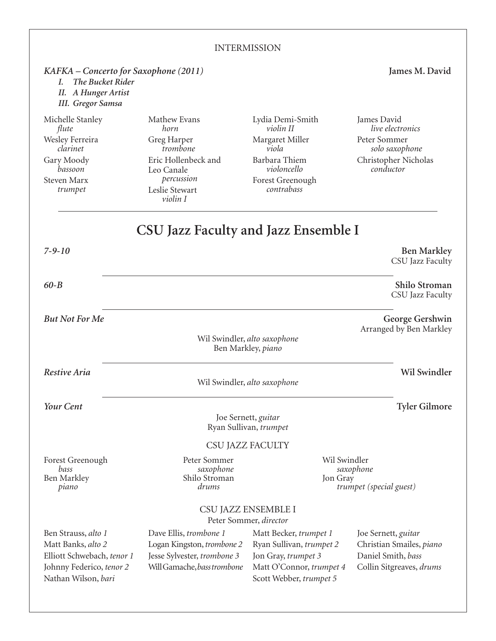#### **INTERMISSION** *KAFKA – Concerto for Saxophone (2011)* **James M. David** *I. The Bucket Rider II. A Hunger Artist III. Gregor Samsa* Michelle Stanley  *flute* Wesley Ferreira  *clarinet* Gary Moody  *bassoon* Steven Marx  *trumpet* Mathew Evans  *horn* Greg Harper  *trombone* Eric Hollenbeck and Leo Canale  *percussion* Leslie Stewart  *violin I* Lydia Demi-Smith  *violin II* Margaret Miller  *viola* Barbara Thiem  *violoncello* Forest Greenough  *contrabass* James David  *live electronics* Peter Sommer  *solo saxophone* Christopher Nicholas  *conductor* Ben Strauss, *alto 1* Matt Banks, *alto 2* Elliott Schwebach, *tenor 1* Johnny Federico, *tenor 2* Nathan Wilson, *bari* Dave Ellis, *trombone 1* Logan Kingston, *trombone 2* Jesse Sylvester, *trombone 3* Will Gamache, *basstrombone* Matt Becker, *trumpet 1* Ryan Sullivan, *trumpet 2* Jon Gray, *trumpet 3* Matt O'Connor, *trumpet 4* Scott Webber, *trumpet 5* Joe Sernett, *guitar* Christian Smailes, *piano* Daniel Smith, *bass* Collin Sitgreaves, *drums* CSU Jazz Faculty **CSU Jazz Faculty and Jazz Ensemble I** *7-9-10* **Ben Markley** CSU Jazz Faculty *60-B* **Shilo Stroman** CSU Jazz Faculty *But Not For Me* **George Gershwin** Arranged by Ben Markley Wil Swindler, *alto saxophone* Ben Markley, *piano Restive Aria* **Wil Swindler** Wil Swindler, *alto saxophone Your Cent* **Tyler Gilmore** Joe Sernett, *guitar* Ryan Sullivan, *trumpet* Forest Greenough  *bass* Ben Markley  *piano* Peter Sommer  *saxophone* Shilo Stroman  *drums* Wil Swindler  *saxophone* Jon Gray  *trumpet (special guest)* CSU Jazz Ensemble I Peter Sommer, *director*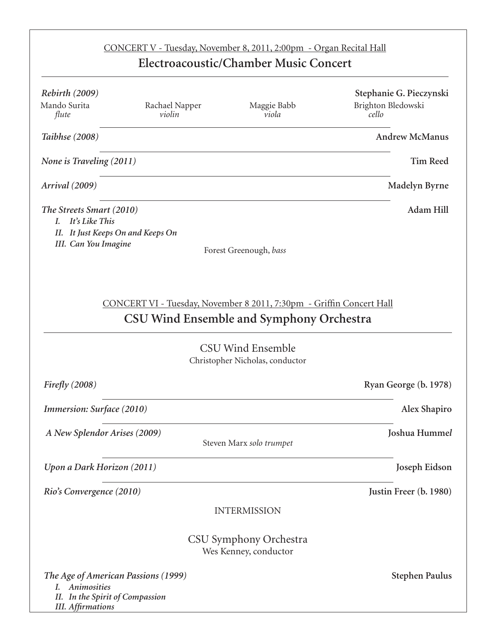|                                                                                                                         |                          | CONCERT V - Tuesday, November 8, 2011, 2:00pm - Organ Recital Hall<br>Electroacoustic/Chamber Music Concert                                                                            |                                                        |
|-------------------------------------------------------------------------------------------------------------------------|--------------------------|----------------------------------------------------------------------------------------------------------------------------------------------------------------------------------------|--------------------------------------------------------|
| <b>Rebirth</b> (2009)<br>Mando Surita<br>flute                                                                          | Rachael Napper<br>violin | Maggie Babb<br>viola                                                                                                                                                                   | Stephanie G. Pieczynski<br>Brighton Bledowski<br>cello |
| Taibhse (2008)                                                                                                          |                          |                                                                                                                                                                                        | <b>Andrew McManus</b>                                  |
| None is Traveling (2011)                                                                                                |                          |                                                                                                                                                                                        | <b>Tim Reed</b>                                        |
| Arrival (2009)                                                                                                          |                          |                                                                                                                                                                                        | Madelyn Byrne                                          |
| The Streets Smart (2010)<br>It's Like This<br>L.<br>II. It Just Keeps On and Keeps On<br><b>III.</b> Can You Imagine    |                          | Forest Greenough, bass                                                                                                                                                                 | <b>Adam Hill</b>                                       |
|                                                                                                                         |                          | CONCERT VI - Tuesday, November 8 2011, 7:30pm - Griffin Concert Hall<br><b>CSU Wind Ensemble and Symphony Orchestra</b><br><b>CSU Wind Ensemble</b><br>Christopher Nicholas, conductor |                                                        |
| Firefly $(2008)$                                                                                                        |                          |                                                                                                                                                                                        | Ryan George (b. 1978)                                  |
| Immersion: Surface (2010)                                                                                               |                          |                                                                                                                                                                                        | Alex Shapiro                                           |
| A New Splendor Arises (2009)                                                                                            |                          | Steven Marx solo trumpet                                                                                                                                                               | Joshua Hummel                                          |
| Upon a Dark Horizon (2011)                                                                                              |                          |                                                                                                                                                                                        | Joseph Eidson                                          |
| Rio's Convergence (2010)                                                                                                |                          |                                                                                                                                                                                        | Justin Freer (b. 1980)                                 |
|                                                                                                                         |                          | <b>INTERMISSION</b>                                                                                                                                                                    |                                                        |
|                                                                                                                         |                          | CSU Symphony Orchestra<br>Wes Kenney, conductor                                                                                                                                        |                                                        |
| The Age of American Passions (1999)<br>Animosities<br>L.<br>II. In the Spirit of Compassion<br><b>III.</b> Affirmations |                          |                                                                                                                                                                                        | <b>Stephen Paulus</b>                                  |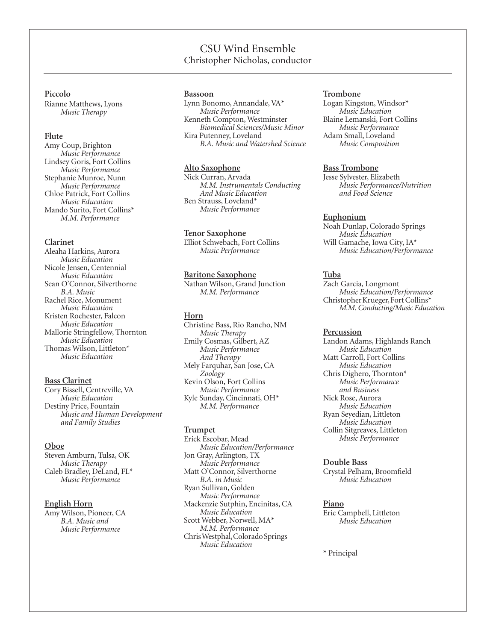# CSU Wind Ensemble Christopher Nicholas, conductor

#### **Piccolo**

Rianne Matthews, Lyons  *Music Therapy*

#### **Flute**

Amy Coup, Brighton  *Music Performance* Lindsey Goris, Fort Collins  *Music Performance* Stephanie Munroe, Nunn  *Music Performance* Chloe Patrick, Fort Collins  *Music Education* Mando Surito, Fort Collins\*  *M.M. Performance*

#### **Clarinet**

Aleaha Harkins, Aurora  *Music Education* Nicole Jensen, Centennial  *Music Education* Sean O'Connor, Silverthorne  *B.A. Music* Rachel Rice, Monument  *Music Education* Kristen Rochester, Falcon  *Music Education* Mallorie Stringfellow, Thornton  *Music Education* Thomas Wilson, Littleton\*  *Music Education*

#### **Bass Clarinet**

Cory Bissell, Centreville, VA  *Music Education* Destiny Price, Fountain  *Music and Human Development and Family Studies*

#### **Oboe**

Steven Amburn, Tulsa, OK  *Music Therapy* Caleb Bradley, DeLand, FL\*  *Music Performance*

#### **English Horn**

Amy Wilson, Pioneer, CA *B.A. Music and Music Performance*

#### **Bassoon**

Lynn Bonomo, Annandale, VA\*  *Music Performance* Kenneth Compton, Westminster *Biomedical Sciences/Music Minor* Kira Putenney, Loveland  *B.A. Music and Watershed Science*

#### **Alto Saxophone**

Nick Curran, Arvada  *M.M. Instrumentals Conducting And Music Education* Ben Strauss, Loveland\*  *Music Performance*

#### **Tenor Saxophone**

Elliot Schwebach, Fort Collins  *Music Performance*

#### **Baritone Saxophone**

Nathan Wilson, Grand Junction  *M.M. Performance*

#### **Horn**

Christine Bass, Rio Rancho, NM  *Music Therapy* Emily Cosmas, Gilbert, AZ  *Music Performance And Therapy* Mely Farquhar, San Jose, CA  *Zoology* Kevin Olson, Fort Collins  *Music Performance* Kyle Sunday, Cincinnati, OH\*  *M.M. Performance*

#### **Trumpet**

Erick Escobar, Mead  *Music Education/Performance* Jon Gray, Arlington, TX  *Music Performance* Matt O'Connor, Silverthorne  *B.A. in Music* Ryan Sullivan, Golden  *Music Performance* Mackenzie Sutphin, Encinitas, CA  *Music Education* Scott Webber, Norwell, MA\*  *M.M. Performance* Chris Westphal, Colorado Springs  *Music Education*

#### **Trombone**

Logan Kingston, Windsor\*  *Music Education* Blaine Lemanski, Fort Collins  *Music Performance* Adam Small, Loveland  *Music Composition*

#### **Bass Trombone**

Jesse Sylvester, Elizabeth  *Music Performance/Nutrition and Food Science*

#### **Euphonium**

Noah Dunlap, Colorado Springs *Music Education* Will Gamache, Iowa City, IA\*  *Music Education/Performance*

#### **Tuba**

Zach Garcia, Longmont  *Music Education/Performance* Christopher Krueger, Fort Collins\*  *M.M. Conducting/Music Education*

#### **Percussion**

Landon Adams, Highlands Ranch  *Music Education* Matt Carroll, Fort Collins  *Music Education* Chris Dighero, Thornton\*  *Music Performance and Business* Nick Rose, Aurora  *Music Education* Ryan Seyedian, Littleton  *Music Education* Collin Sitgreaves, Littleton  *Music Performance*

#### **Double Bass**

Crystal Pelham, Broomfield  *Music Education*

#### **Piano**

Eric Campbell, Littleton  *Music Education*

\* Principal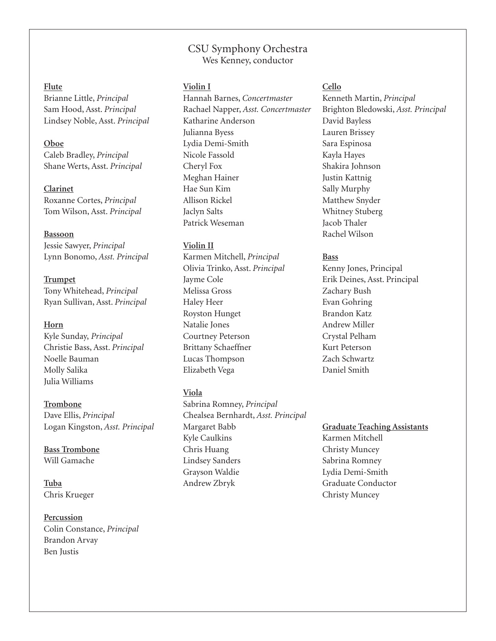# CSU Symphony Orchestra Wes Kenney, conductor

# **Flute**

Brianne Little, *Principal* Sam Hood, Asst. *Principal* Lindsey Noble, Asst. *Principal*

## **Oboe**

Caleb Bradley, *Principal* Shane Werts, Asst. *Principal*

**Clarinet** Roxanne Cortes, *Principal* Tom Wilson, Asst. *Principal*

**Bassoon**

Jessie Sawyer, *Principal* Lynn Bonomo, *Asst. Principal*

**Trumpet** Tony Whitehead, *Principal* Ryan Sullivan, Asst. *Principal*

# **Horn**

Kyle Sunday, *Principal* Christie Bass, Asst. *Principal* Noelle Bauman Molly Salika Julia Williams

**Trombone**

Dave Ellis, *Principal* Logan Kingston, *Asst. Principal*

**Bass Trombone** Will Gamache

**Tuba** Chris Krueger

**Percussion** Colin Constance, *Principal* Brandon Arvay Ben Justis

# **Violin I**

Hannah Barnes, *Concertmaster* Rachael Napper, *Asst. Concertmaster* Katharine Anderson Julianna Byess Lydia Demi-Smith Nicole Fassold Cheryl Fox Meghan Hainer Hae Sun Kim Allison Rickel Jaclyn Salts Patrick Weseman

# **Violin II**

Karmen Mitchell, *Principal* Olivia Trinko, Asst. *Principal* Jayme Cole Melissa Gross Haley Heer Royston Hunget Natalie Jones Courtney Peterson Brittany Schaeffner Lucas Thompson Elizabeth Vega

# **Viola**

Sabrina Romney, *Principal* Chealsea Bernhardt, *Asst. Principal* Margaret Babb Kyle Caulkins Chris Huang Lindsey Sanders Grayson Waldie Andrew Zbryk

# **Cello**

Kenneth Martin, *Principal* Brighton Bledowski, *Asst. Principal* David Bayless Lauren Brissey Sara Espinosa Kayla Hayes Shakira Johnson Justin Kattnig Sally Murphy Matthew Snyder Whitney Stuberg Jacob Thaler Rachel Wilson

# **Bass**

Kenny Jones, Principal Erik Deines, Asst. Principal Zachary Bush Evan Gohring Brandon Katz Andrew Miller Crystal Pelham Kurt Peterson Zach Schwartz Daniel Smith

**Graduate Teaching Assistants** Karmen Mitchell Christy Muncey Sabrina Romney Lydia Demi-Smith Graduate Conductor Christy Muncey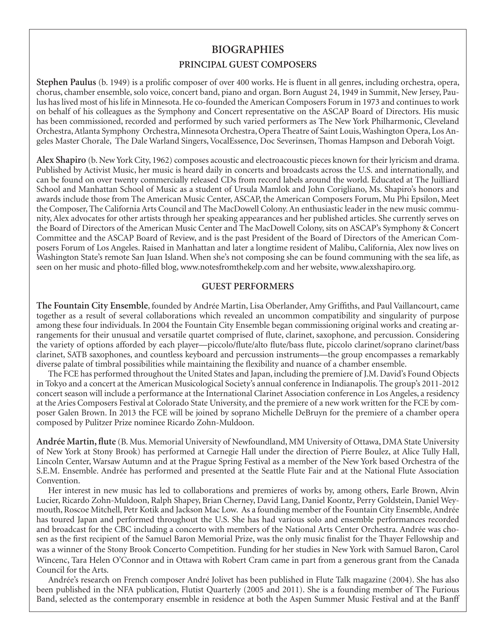# **Biographies**

# **Principal Guest Composers**

**Stephen Paulus** (b. 1949) is a prolific composer of over 400 works. He is fluent in all genres, including orchestra, opera, chorus, chamber ensemble, solo voice, concert band, piano and organ. Born August 24, 1949 in Summit, New Jersey, Paulus has lived most of his life in Minnesota. He co-founded the American Composers Forum in 1973 and continues to work on behalf of his colleagues as the Symphony and Concert representative on the ASCAP Board of Directors. His music has been commissioned, recorded and performed by such varied performers as The New York Philharmonic, Cleveland Orchestra, Atlanta Symphony Orchestra, Minnesota Orchestra, Opera Theatre of Saint Louis, Washington Opera, Los Angeles Master Chorale, The Dale Warland Singers, VocalEssence, Doc Severinsen, Thomas Hampson and Deborah Voigt.

**Alex Shapiro** (b. New York City, 1962) composes acoustic and electroacoustic pieces known for their lyricism and drama. Published by Activist Music, her music is heard daily in concerts and broadcasts across the U.S. and internationally, and can be found on over twenty commercially released CDs from record labels around the world. Educated at The Juilliard School and Manhattan School of Music as a student of Ursula Mamlok and John Corigliano, Ms. Shapiro's honors and awards include those from The American Music Center, ASCAP, the American Composers Forum, Mu Phi Epsilon, Meet the Composer, The California Arts Council and The MacDowell Colony. An enthusiastic leader in the new music community, Alex advocates for other artists through her speaking appearances and her published articles. She currently serves on the Board of Directors of the American Music Center and The MacDowell Colony, sits on ASCAP's Symphony & Concert Committee and the ASCAP Board of Review, and is the past President of the Board of Directors of the American Composers Forum of Los Angeles. Raised in Manhattan and later a longtime resident of Malibu, California, Alex now lives on Washington State's remote San Juan Island. When she's not composing she can be found communing with the sea life, as seen on her music and photo-filled blog, www.notesfromthekelp.com and her website, www.alexshapiro.org.

## **Guest Performers**

**The Fountain City Ensemble**, founded by Andrée Martin, Lisa Oberlander, Amy Griffiths, and Paul Vaillancourt, came together as a result of several collaborations which revealed an uncommon compatibility and singularity of purpose among these four individuals. In 2004 the Fountain City Ensemble began commissioning original works and creating arrangements for their unusual and versatile quartet comprised of flute, clarinet, saxophone, and percussion. Considering the variety of options afforded by each player—piccolo/flute/alto flute/bass flute, piccolo clarinet/soprano clarinet/bass clarinet, SATB saxophones, and countless keyboard and percussion instruments—the group encompasses a remarkably diverse palate of timbral possibilities while maintaining the flexibility and nuance of a chamber ensemble.

The FCE has performed throughout the United States and Japan, including the premiere of J.M. David's Found Objects in Tokyo and a concert at the American Musicological Society's annual conference in Indianapolis. The group's 2011-2012 concert season will include a performance at the International Clarinet Association conference in Los Angeles, a residency at the Aries Composers Festival at Colorado State University, and the premiere of a new work written for the FCE by composer Galen Brown. In 2013 the FCE will be joined by soprano Michelle DeBruyn for the premiere of a chamber opera composed by Pulitzer Prize nominee Ricardo Zohn-Muldoon.

**Andrée Martin, flute** (B. Mus. Memorial University of Newfoundland, MM University of Ottawa, DMA State University of New York at Stony Brook) has performed at Carnegie Hall under the direction of Pierre Boulez, at Alice Tully Hall, Lincoln Center, Warsaw Autumn and at the Prague Spring Festival as a member of the New York based Orchestra of the S.E.M. Ensemble. Andrée has performed and presented at the Seattle Flute Fair and at the National Flute Association Convention.

Her interest in new music has led to collaborations and premieres of works by, among others, Earle Brown, Alvin Lucier, Ricardo Zohn-Muldoon, Ralph Shapey, Brian Cherney, David Lang, Daniel Koontz, Perry Goldstein, Daniel Weymouth, Roscoe Mitchell, Petr Kotik and Jackson Mac Low. As a founding member of the Fountain City Ensemble, Andrée has toured Japan and performed throughout the U.S. She has had various solo and ensemble performances recorded and broadcast for the CBC including a concerto with members of the National Arts Center Orchestra. Andrée was chosen as the first recipient of the Samuel Baron Memorial Prize, was the only music finalist for the Thayer Fellowship and was a winner of the Stony Brook Concerto Competition. Funding for her studies in New York with Samuel Baron, Carol Wincenc, Tara Helen O'Connor and in Ottawa with Robert Cram came in part from a generous grant from the Canada Council for the Arts.

Andrée's research on French composer André Jolivet has been published in Flute Talk magazine (2004). She has also been published in the NFA publication, Flutist Quarterly (2005 and 2011). She is a founding member of The Furious Band, selected as the contemporary ensemble in residence at both the Aspen Summer Music Festival and at the Banff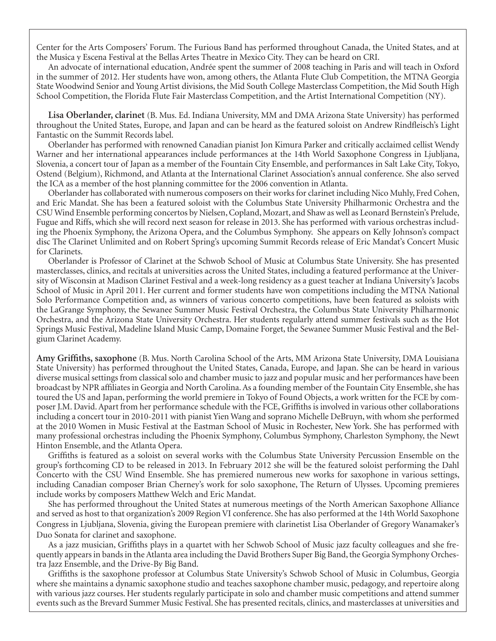Center for the Arts Composers' Forum. The Furious Band has performed throughout Canada, the United States, and at the Musica y Escena Festival at the Bellas Artes Theatre in Mexico City. They can be heard on CRI.

An advocate of international education, Andrée spent the summer of 2008 teaching in Paris and will teach in Oxford in the summer of 2012. Her students have won, among others, the Atlanta Flute Club Competition, the MTNA Georgia State Woodwind Senior and Young Artist divisions, the Mid South College Masterclass Competition, the Mid South High School Competition, the Florida Flute Fair Masterclass Competition, and the Artist International Competition (NY).

**Lisa Oberlander, clarinet** (B. Mus. Ed. Indiana University, MM and DMA Arizona State University) has performed throughout the United States, Europe, and Japan and can be heard as the featured soloist on Andrew Rindfleisch's Light Fantastic on the Summit Records label.

Oberlander has performed with renowned Canadian pianist Jon Kimura Parker and critically acclaimed cellist Wendy Warner and her international appearances include performances at the 14th World Saxophone Congress in Ljubljana, Slovenia, a concert tour of Japan as a member of the Fountain City Ensemble, and performances in Salt Lake City, Tokyo, Ostend (Belgium), Richmond, and Atlanta at the International Clarinet Association's annual conference. She also served the ICA as a member of the host planning committee for the 2006 convention in Atlanta.

Oberlander has collaborated with numerous composers on their works for clarinet including Nico Muhly, Fred Cohen, and Eric Mandat. She has been a featured soloist with the Columbus State University Philharmonic Orchestra and the CSU Wind Ensemble performing concertos by Nielsen, Copland, Mozart, and Shaw as well as Leonard Bernstein's Prelude, Fugue and Riffs, which she will record next season for release in 2013. She has performed with various orchestras including the Phoenix Symphony, the Arizona Opera, and the Columbus Symphony. She appears on Kelly Johnson's compact disc The Clarinet Unlimited and on Robert Spring's upcoming Summit Records release of Eric Mandat's Concert Music for Clarinets.

Oberlander is Professor of Clarinet at the Schwob School of Music at Columbus State University. She has presented masterclasses, clinics, and recitals at universities across the United States, including a featured performance at the University of Wisconsin at Madison Clarinet Festival and a week-long residency as a guest teacher at Indiana University's Jacobs School of Music in April 2011. Her current and former students have won competitions including the MTNA National Solo Performance Competition and, as winners of various concerto competitions, have been featured as soloists with the LaGrange Symphony, the Sewanee Summer Music Festival Orchestra, the Columbus State University Philharmonic Orchestra, and the Arizona State University Orchestra. Her students regularly attend summer festivals such as the Hot Springs Music Festival, Madeline Island Music Camp, Domaine Forget, the Sewanee Summer Music Festival and the Belgium Clarinet Academy.

**Amy Griffiths, saxophone** (B. Mus. North Carolina School of the Arts, MM Arizona State University, DMA Louisiana State University) has performed throughout the United States, Canada, Europe, and Japan. She can be heard in various diverse musical settings from classical solo and chamber music to jazz and popular music and her performances have been broadcast by NPR affiliates in Georgia and North Carolina. As a founding member of the Fountain City Ensemble, she has toured the US and Japan, performing the world premiere in Tokyo of Found Objects, a work written for the FCE by composer J.M. David. Apart from her performance schedule with the FCE, Griffiths is involved in various other collaborations including a concert tour in 2010-2011 with pianist Yien Wang and soprano Michelle DeBruyn, with whom she performed at the 2010 Women in Music Festival at the Eastman School of Music in Rochester, New York. She has performed with many professional orchestras including the Phoenix Symphony, Columbus Symphony, Charleston Symphony, the Newt Hinton Ensemble, and the Atlanta Opera.

Griffiths is featured as a soloist on several works with the Columbus State University Percussion Ensemble on the group's forthcoming CD to be released in 2013. In February 2012 she will be the featured soloist performing the Dahl Concerto with the CSU Wind Ensemble. She has premiered numerous new works for saxophone in various settings, including Canadian composer Brian Cherney's work for solo saxophone, The Return of Ulysses. Upcoming premieres include works by composers Matthew Welch and Eric Mandat.

She has performed throughout the United States at numerous meetings of the North American Saxophone Alliance and served as host to that organization's 2009 Region VI conference. She has also performed at the 14th World Saxophone Congress in Ljubljana, Slovenia, giving the European premiere with clarinetist Lisa Oberlander of Gregory Wanamaker's Duo Sonata for clarinet and saxophone.

As a jazz musician, Griffiths plays in a quartet with her Schwob School of Music jazz faculty colleagues and she frequently appears in bands in the Atlanta area including the David Brothers Super Big Band, the Georgia Symphony Orchestra Jazz Ensemble, and the Drive-By Big Band.

Griffiths is the saxophone professor at Columbus State University's Schwob School of Music in Columbus, Georgia where she maintains a dynamic saxophone studio and teaches saxophone chamber music, pedagogy, and repertoire along with various jazz courses. Her students regularly participate in solo and chamber music competitions and attend summer events such as the Brevard Summer Music Festival. She has presented recitals, clinics, and masterclasses at universities and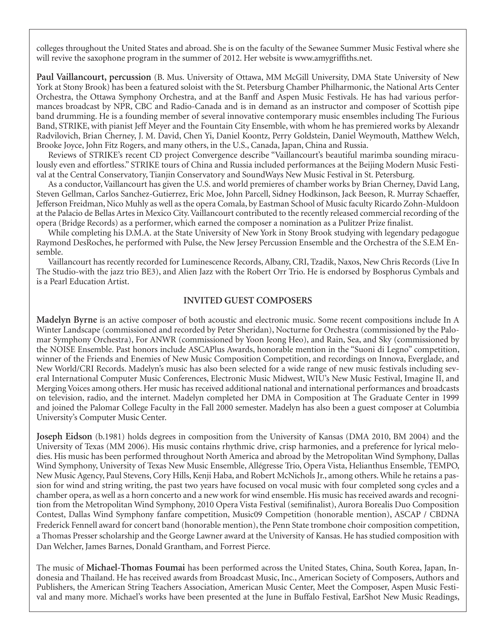colleges throughout the United States and abroad. She is on the faculty of the Sewanee Summer Music Festival where she will revive the saxophone program in the summer of 2012. Her website is www.amygriffiths.net.

**Paul Vaillancourt, percussion** (B. Mus. University of Ottawa, MM McGill University, DMA State University of New York at Stony Brook) has been a featured soloist with the St. Petersburg Chamber Philharmonic, the National Arts Center Orchestra, the Ottawa Symphony Orchestra, and at the Banff and Aspen Music Festivals. He has had various performances broadcast by NPR, CBC and Radio-Canada and is in demand as an instructor and composer of Scottish pipe band drumming. He is a founding member of several innovative contemporary music ensembles including The Furious Band, STRIKE, with pianist Jeff Meyer and the Fountain City Ensemble, with whom he has premiered works by Alexandr Radvilovich, Brian Cherney, J. M. David, Chen Yi, Daniel Koontz, Perry Goldstein, Daniel Weymouth, Matthew Welch, Brooke Joyce, John Fitz Rogers, and many others, in the U.S., Canada, Japan, China and Russia.

Reviews of STRIKE's recent CD project Convergence describe "Vaillancourt's beautiful marimba sounding miraculously even and effortless." STRIKE tours of China and Russia included performances at the Beijing Modern Music Festival at the Central Conservatory, Tianjin Conservatory and SoundWays New Music Festival in St. Petersburg.

As a conductor, Vaillancourt has given the U.S. and world premieres of chamber works by Brian Cherney, David Lang, Steven Gellman, Carlos Sanchez-Gutierrez, Eric Moe, John Parcell, Sidney Hodkinson, Jack Beeson, R. Murray Schaeffer, Jefferson Freidman, Nico Muhly as well as the opera Comala, by Eastman School of Music faculty Ricardo Zohn-Muldoon at the Palacio de Bellas Artes in Mexico City. Vaillancourt contributed to the recently released commercial recording of the opera (Bridge Records) as a performer, which earned the composer a nomination as a Pulitzer Prize finalist.

While completing his D.M.A. at the State University of New York in Stony Brook studying with legendary pedagogue Raymond DesRoches, he performed with Pulse, the New Jersey Percussion Ensemble and the Orchestra of the S.E.M Ensemble.

Vaillancourt has recently recorded for Luminescence Records, Albany, CRI, Tzadik, Naxos, New Chris Records (Live In The Studio-with the jazz trio BE3), and Alien Jazz with the Robert Orr Trio. He is endorsed by Bosphorus Cymbals and is a Pearl Education Artist.

## **Invited Guest Composers**

**Madelyn Byrne** is an active composer of both acoustic and electronic music. Some recent compositions include In A Winter Landscape (commissioned and recorded by Peter Sheridan), Nocturne for Orchestra (commissioned by the Palomar Symphony Orchestra), For ANWR (commissioned by Yoon Jeong Heo), and Rain, Sea, and Sky (commissioned by the NOISE Ensemble. Past honors include ASCAPlus Awards, honorable mention in the "Suoni di Legno" competition, winner of the Friends and Enemies of New Music Composition Competition, and recordings on Innova, Everglade, and New World/CRI Records. Madelyn's music has also been selected for a wide range of new music festivals including several International Computer Music Conferences, Electronic Music Midwest, WIU's New Music Festival, Imagine II, and Merging Voices among others. Her music has received additional national and international performances and broadcasts on television, radio, and the internet. Madelyn completed her DMA in Composition at The Graduate Center in 1999 and joined the Palomar College Faculty in the Fall 2000 semester. Madelyn has also been a guest composer at Columbia University's Computer Music Center.

**Joseph Eidson** (b.1981) holds degrees in composition from the University of Kansas (DMA 2010, BM 2004) and the University of Texas (MM 2006). His music contains rhythmic drive, crisp harmonies, and a preference for lyrical melodies. His music has been performed throughout North America and abroad by the Metropolitan Wind Symphony, Dallas Wind Symphony, University of Texas New Music Ensemble, Allégresse Trio, Opera Vista, Helianthus Ensemble, TEMPO, New Music Agency, Paul Stevens, Cory Hills, Kenji Haba, and Robert McNichols Jr., among others. While he retains a passion for wind and string writing, the past two years have focused on vocal music with four completed song cycles and a chamber opera, as well as a horn concerto and a new work for wind ensemble. His music has received awards and recognition from the Metropolitan Wind Symphony, 2010 Opera Vista Festival (semifinalist), Aurora Borealis Duo Composition Contest, Dallas Wind Symphony fanfare competition, Music09 Competition (honorable mention), ASCAP / CBDNA Frederick Fennell award for concert band (honorable mention), the Penn State trombone choir composition competition, a Thomas Presser scholarship and the George Lawner award at the University of Kansas. He has studied composition with Dan Welcher, James Barnes, Donald Grantham, and Forrest Pierce.

The music of **Michael-Thomas Foumai** has been performed across the United States, China, South Korea, Japan, Indonesia and Thailand. He has received awards from Broadcast Music, Inc., American Society of Composers, Authors and Publishers, the American String Teachers Association, American Music Center, Meet the Composer, Aspen Music Festival and many more. Michael's works have been presented at the June in Buffalo Festival, EarShot New Music Readings,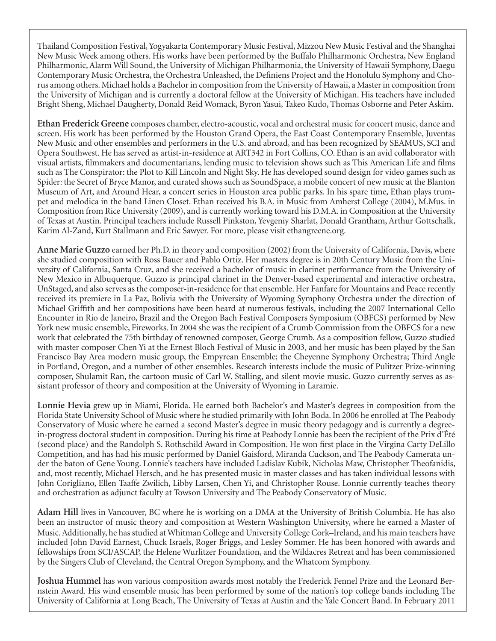Thailand Composition Festival, Yogyakarta Contemporary Music Festival, Mizzou New Music Festival and the Shanghai New Music Week among others. His works have been performed by the Buffalo Philharmonic Orchestra, New England Philharmonic, Alarm Will Sound, the University of Michigan Philharmonia, the University of Hawaii Symphony, Daegu Contemporary Music Orchestra, the Orchestra Unleashed, the Definiens Project and the Honolulu Symphony and Chorus among others. Michael holds a Bachelor in composition from the University of Hawaii, a Master in composition from the University of Michigan and is currently a doctoral fellow at the University of Michigan. His teachers have included Bright Sheng, Michael Daugherty, Donald Reid Womack, Byron Yasui, Takeo Kudo, Thomas Osborne and Peter Askim.

**Ethan Frederick Greene** composes chamber, electro-acoustic, vocal and orchestral music for concert music, dance and screen. His work has been performed by the Houston Grand Opera, the East Coast Contemporary Ensemble, Juventas New Music and other ensembles and performers in the U.S. and abroad, and has been recognized by SEAMUS, SCI and Opera Southwest. He has served as artist-in-residence at ART342 in Fort Collins, CO. Ethan is an avid collaborator with visual artists, filmmakers and documentarians, lending music to television shows such as This American Life and films such as The Conspirator: the Plot to Kill Lincoln and Night Sky. He has developed sound design for video games such as Spider: the Secret of Bryce Manor, and curated shows such as SoundSpace, a mobile concert of new music at the Blanton Museum of Art, and Around Hear, a concert series in Houston area public parks. In his spare time, Ethan plays trumpet and melodica in the band Linen Closet. Ethan received his B.A. in Music from Amherst College (2004), M.Mus. in Composition from Rice University (2009), and is currently working toward his D.M.A. in Composition at the University of Texas at Austin. Principal teachers include Russell Pinkston, Yevgeniy Sharlat, Donald Grantham, Arthur Gottschalk, Karim Al-Zand, Kurt Stallmann and Eric Sawyer. For more, please visit ethangreene.org.

**Anne Marie Guzzo** earned her Ph.D. in theory and composition (2002) from the University of California, Davis, where she studied composition with Ross Bauer and Pablo Ortiz. Her masters degree is in 20th Century Music from the University of California, Santa Cruz, and she received a bachelor of music in clarinet performance from the University of New Mexico in Albuquerque. Guzzo is principal clarinet in the Denver-based experimental and interactive orchestra, UnStaged, and also serves as the composer-in-residence for that ensemble. Her Fanfare for Mountains and Peace recently received its premiere in La Paz, Bolivia with the University of Wyoming Symphony Orchestra under the direction of Michael Griffith and her compositions have been heard at numerous festivals, including the 2007 International Cello Encounter in Rio de Janeiro, Brazil and the Oregon Bach Festival Composers Symposium (OBFCS) performed by New York new music ensemble, Fireworks. In 2004 she was the recipient of a Crumb Commission from the OBFCS for a new work that celebrated the 75th birthday of renowned composer, George Crumb. As a composition fellow, Guzzo studied with master composer Chen Yi at the Ernest Bloch Festival of Music in 2003, and her music has been played by the San Francisco Bay Area modern music group, the Empyrean Ensemble; the Cheyenne Symphony Orchestra; Third Angle in Portland, Oregon, and a number of other ensembles. Research interests include the music of Pulitzer Prize-winning composer, Shulamit Ran, the cartoon music of Carl W. Stalling, and silent movie music. Guzzo currently serves as assistant professor of theory and composition at the University of Wyoming in Laramie.

**Lonnie Hevia** grew up in Miami, Florida. He earned both Bachelor's and Master's degrees in composition from the Florida State University School of Music where he studied primarily with John Boda. In 2006 he enrolled at The Peabody Conservatory of Music where he earned a second Master's degree in music theory pedagogy and is currently a degreein-progress doctoral student in composition. During his time at Peabody Lonnie has been the recipient of the Prix d'Été (second place) and the Randolph S. Rothschild Award in Composition. He won first place in the Virgina Carty DeLillo Competition, and has had his music performed by Daniel Gaisford, Miranda Cuckson, and The Peabody Camerata under the baton of Gene Young. Lonnie's teachers have included Ladislav Kubik, Nicholas Maw, Christopher Theofanidis, and, most recently, Michael Hersch, and he has presented music in master classes and has taken individual lessons with John Corigliano, Ellen Taaffe Zwilich, Libby Larsen, Chen Yi, and Christopher Rouse. Lonnie currently teaches theory and orchestration as adjunct faculty at Towson University and The Peabody Conservatory of Music.

**Adam Hill** lives in Vancouver, BC where he is working on a DMA at the University of British Columbia. He has also been an instructor of music theory and composition at Western Washington University, where he earned a Master of Music. Additionally, he has studied at Whitman College and University College Cork–Ireland, and his main teachers have included John David Earnest, Chuck Israels, Roger Briggs, and Lesley Sommer. He has been honored with awards and fellowships from SCI/ASCAP, the Helene Wurlitzer Foundation, and the Wildacres Retreat and has been commissioned by the Singers Club of Cleveland, the Central Oregon Symphony, and the Whatcom Symphony.

**Joshua Hummel** has won various composition awards most notably the Frederick Fennel Prize and the Leonard Bernstein Award. His wind ensemble music has been performed by some of the nation's top college bands including The University of California at Long Beach, The University of Texas at Austin and the Yale Concert Band. In February 2011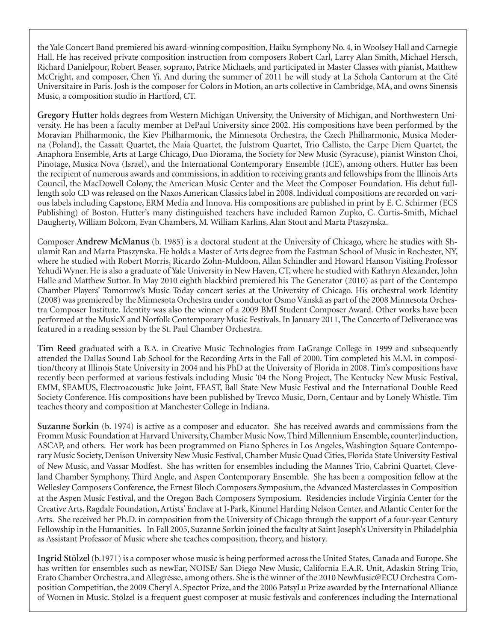the Yale Concert Band premiered his award-winning composition, Haiku Symphony No. 4, in Woolsey Hall and Carnegie Hall. He has received private composition instruction from composers Robert Carl, Larry Alan Smith, Michael Hersch, Richard Danielpour, Robert Beaser, soprano, Patrice Michaels, and participated in Master Classes with pianist, Matthew McCright, and composer, Chen Yi. And during the summer of 2011 he will study at La Schola Cantorum at the Cité Universitaire in Paris. Josh is the composer for Colors in Motion, an arts collective in Cambridge, MA, and owns Sinensis Music, a composition studio in Hartford, CT.

**Gregory Hutter** holds degrees from Western Michigan University, the University of Michigan, and Northwestern University. He has been a faculty member at DePaul University since 2002. His compositions have been performed by the Moravian Philharmonic, the Kiev Philharmonic, the Minnesota Orchestra, the Czech Philharmonic, Musica Moderna (Poland), the Cassatt Quartet, the Maia Quartet, the Julstrom Quartet, Trio Callisto, the Carpe Diem Quartet, the Anaphora Ensemble, Arts at Large Chicago, Duo Diorama, the Society for New Music (Syracuse), pianist Winston Choi, Pinotage, Musica Nova (Israel), and the International Contemporary Ensemble (ICE), among others. Hutter has been the recipient of numerous awards and commissions, in addition to receiving grants and fellowships from the Illinois Arts Council, the MacDowell Colony, the American Music Center and the Meet the Composer Foundation. His debut fulllength solo CD was released on the Naxos American Classics label in 2008. Individual compositions are recorded on various labels including Capstone, ERM Media and Innova. His compositions are published in print by E. C. Schirmer (ECS Publishing) of Boston. Hutter's many distinguished teachers have included Ramon Zupko, C. Curtis-Smith, Michael Daugherty, William Bolcom, Evan Chambers, M. William Karlins, Alan Stout and Marta Ptaszynska.

Composer **Andrew McManus** (b. 1985) is a doctoral student at the University of Chicago, where he studies with Shulamit Ran and Marta Ptaszynska. He holds a Master of Arts degree from the Eastman School of Music in Rochester, NY, where he studied with Robert Morris, Ricardo Zohn-Muldoon, Allan Schindler and Howard Hanson Visiting Professor Yehudi Wyner. He is also a graduate of Yale University in New Haven, CT, where he studied with Kathryn Alexander, John Halle and Matthew Suttor. In May 2010 eighth blackbird premiered his The Generator (2010) as part of the Contempo Chamber Players' Tomorrow's Music Today concert series at the University of Chicago. His orchestral work Identity (2008) was premiered by the Minnesota Orchestra under conductor Osmo Vänskä as part of the 2008 Minnesota Orchestra Composer Institute. Identity was also the winner of a 2009 BMI Student Composer Award. Other works have been performed at the MusicX and Norfolk Contemporary Music Festivals. In January 2011, The Concerto of Deliverance was featured in a reading session by the St. Paul Chamber Orchestra.

**Tim Reed** graduated with a B.A. in Creative Music Technologies from LaGrange College in 1999 and subsequently attended the Dallas Sound Lab School for the Recording Arts in the Fall of 2000. Tim completed his M.M. in composition/theory at Illinois State University in 2004 and his PhD at the University of Florida in 2008. Tim's compositions have recently been performed at various festivals including Music '04 the Nong Project, The Kentucky New Music Festival, EMM, SEAMUS, Electroacoustic Juke Joint, FEAST, Ball State New Music Festival and the International Double Reed Society Conference. His compositions have been published by Trevco Music, Dorn, Centaur and by Lonely Whistle. Tim teaches theory and composition at Manchester College in Indiana.

**Suzanne Sorkin** (b. 1974) is active as a composer and educator. She has received awards and commissions from the Fromm Music Foundation at Harvard University, Chamber Music Now, Third Millennium Ensemble, counter)induction, ASCAP, and others. Her work has been programmed on Piano Spheres in Los Angeles, Washington Square Contemporary Music Society, Denison University New Music Festival, Chamber Music Quad Cities, Florida State University Festival of New Music, and Vassar Modfest. She has written for ensembles including the Mannes Trio, Cabrini Quartet, Cleveland Chamber Symphony, Third Angle, and Aspen Contemporary Ensemble. She has been a composition fellow at the Wellesley Composers Conference, the Ernest Bloch Composers Symposium, the Advanced Masterclasses in Composition at the Aspen Music Festival, and the Oregon Bach Composers Symposium. Residencies include Virginia Center for the Creative Arts, Ragdale Foundation, Artists' Enclave at I-Park, Kimmel Harding Nelson Center, and Atlantic Center for the Arts. She received her Ph.D. in composition from the University of Chicago through the support of a four-year Century Fellowship in the Humanities. In Fall 2005, Suzanne Sorkin joined the faculty at Saint Joseph's University in Philadelphia as Assistant Professor of Music where she teaches composition, theory, and history.

**Ingrid Stölzel** (b.1971) is a composer whose music is being performed across the United States, Canada and Europe. She has written for ensembles such as newEar, NOISE/ San Diego New Music, California E.A.R. Unit, Adaskin String Trio, Erato Chamber Orchestra, and Allegrésse, among others. She is the winner of the 2010 NewMusic@ECU Orchestra Composition Competition, the 2009 Cheryl A. Spector Prize, and the 2006 PatsyLu Prize awarded by the International Alliance of Women in Music. Stölzel is a frequent guest composer at music festivals and conferences including the International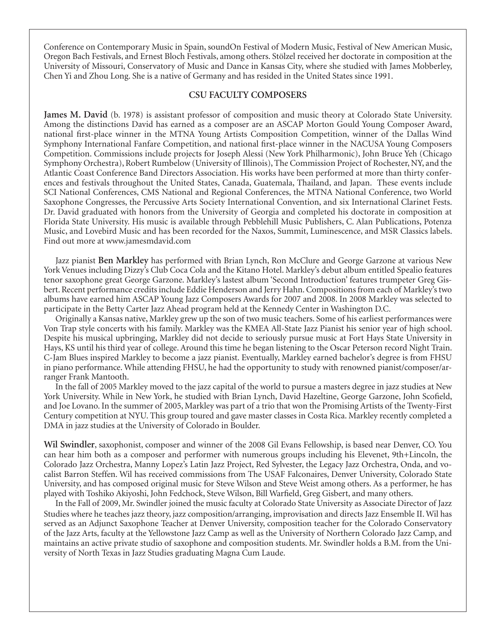Conference on Contemporary Music in Spain, soundOn Festival of Modern Music, Festival of New American Music, Oregon Bach Festivals, and Ernest Bloch Festivals, among others. Stölzel received her doctorate in composition at the University of Missouri, Conservatory of Music and Dance in Kansas City, where she studied with James Mobberley, Chen Yi and Zhou Long. She is a native of Germany and has resided in the United States since 1991.

#### **CSU Faculty Composers**

**James M. David** (b. 1978) is assistant professor of composition and music theory at Colorado State University. Among the distinctions David has earned as a composer are an ASCAP Morton Gould Young Composer Award, national first-place winner in the MTNA Young Artists Composition Competition, winner of the Dallas Wind Symphony International Fanfare Competition, and national first-place winner in the NACUSA Young Composers Competition. Commissions include projects for Joseph Alessi (New York Philharmonic), John Bruce Yeh (Chicago Symphony Orchestra), Robert Rumbelow (University of Illinois), The Commission Project of Rochester, NY, and the Atlantic Coast Conference Band Directors Association. His works have been performed at more than thirty conferences and festivals throughout the United States, Canada, Guatemala, Thailand, and Japan. These events include SCI National Conferences, CMS National and Regional Conferences, the MTNA National Conference, two World Saxophone Congresses, the Percussive Arts Society International Convention, and six International Clarinet Fests. Dr. David graduated with honors from the University of Georgia and completed his doctorate in composition at Florida State University. His music is available through Pebblehill Music Publishers, C. Alan Publications, Potenza Music, and Lovebird Music and has been recorded for the Naxos, Summit, Luminescence, and MSR Classics labels. Find out more at www.jamesmdavid.com

Jazz pianist **Ben Markley** has performed with Brian Lynch, Ron McClure and George Garzone at various New York Venues including Dizzy's Club Coca Cola and the Kitano Hotel. Markley's debut album entitled Spealio features tenor saxophone great George Garzone. Markley's lastest album 'Second Introduction' features trumpeter Greg Gisbert. Recent performance credits include Eddie Henderson and Jerry Hahn. Compositions from each of Markley's two albums have earned him ASCAP Young Jazz Composers Awards for 2007 and 2008. In 2008 Markley was selected to participate in the Betty Carter Jazz Ahead program held at the Kennedy Center in Washington D.C.

Originally a Kansas native, Markley grew up the son of two music teachers. Some of his earliest performances were Von Trap style concerts with his family. Markley was the KMEA All-State Jazz Pianist his senior year of high school. Despite his musical upbringing, Markley did not decide to seriously pursue music at Fort Hays State University in Hays, KS until his third year of college. Around this time he began listening to the Oscar Peterson record Night Train. C-Jam Blues inspired Markley to become a jazz pianist. Eventually, Markley earned bachelor's degree is from FHSU in piano performance. While attending FHSU, he had the opportunity to study with renowned pianist/composer/arranger Frank Mantooth.

In the fall of 2005 Markley moved to the jazz capital of the world to pursue a masters degree in jazz studies at New York University. While in New York, he studied with Brian Lynch, David Hazeltine, George Garzone, John Scofield, and Joe Lovano. In the summer of 2005, Markley was part of a trio that won the Promising Artists of the Twenty-First Century competition at NYU. This group toured and gave master classes in Costa Rica. Markley recently completed a DMA in jazz studies at the University of Colorado in Boulder.

**Wil Swindler**, saxophonist, composer and winner of the 2008 Gil Evans Fellowship, is based near Denver, CO. You can hear him both as a composer and performer with numerous groups including his Elevenet, 9th+Lincoln, the Colorado Jazz Orchestra, Manny Lopez's Latin Jazz Project, Red Sylvester, the Legacy Jazz Orchestra, Onda, and vocalist Barron Steffen. Wil has received commissions from The USAF Falconaires, Denver University, Colorado State University, and has composed original music for Steve Wilson and Steve Weist among others. As a performer, he has played with Toshiko Akiyoshi, John Fedchock, Steve Wilson, Bill Warfield, Greg Gisbert, and many others.

In the Fall of 2009, Mr. Swindler joined the music faculty at Colorado State University as Associate Director of Jazz Studies where he teaches jazz theory, jazz composition/arranging, improvisation and directs Jazz Ensemble II. Wil has served as an Adjunct Saxophone Teacher at Denver University, composition teacher for the Colorado Conservatory of the Jazz Arts, faculty at the Yellowstone Jazz Camp as well as the University of Northern Colorado Jazz Camp, and maintains an active private studio of saxophone and composition students. Mr. Swindler holds a B.M. from the University of North Texas in Jazz Studies graduating Magna Cum Laude.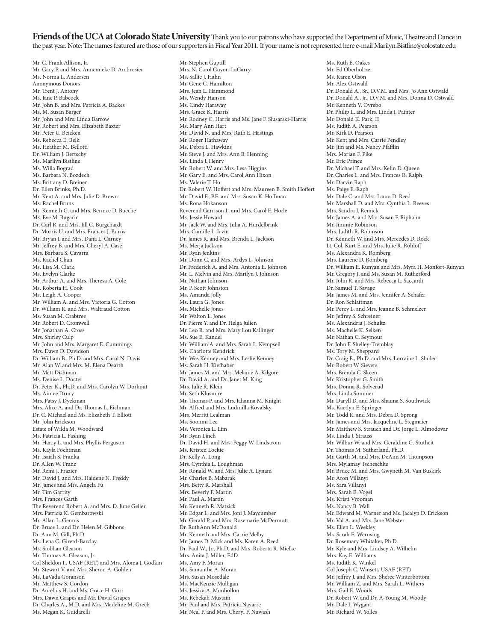**Friends of the UCA at Colorado State University** Thank you to our patrons who have supported the Department of Music, Theatre and Dance in the past year. Note: The names featured are those of our supporters in Fiscal Year 2011. If your name is not represented here e-mail Marilyn.Bistline@colostate.edu

Mr. C. Frank Allison, Jr. Mr. Gary P. and Mrs. Annemieke D. Ambrosier Ms. Norma L. Andersen Anonymous Donors Mr. Trent J. Antony Ms. Jane P. Babcock Mr. John B. and Mrs. Patricia A. Backes Ms. M. Susan Barger Mr. John and Mrs. Linda Barrow Mr. Robert and Mrs. Elizabeth Baxter Mr. Peter U. Beicken Ms. Rebecca E. Belk Ms. Heather M. Bellotti Dr. William J. Bertschy Ms. Marilyn Bistline Ms. Willa Bograd Ms. Barbara N. Bozdech Ms. Brittany D. Breiner Dr. Ellen Brinks, Ph.D. Mr. Kent A. and Mrs. Julie D. Brown Ms. Rachel Bruns Mr. Kenneth G. and Mrs. Bernice D. Bueche Ms. Eve M. Bugarin Dr. Carl R. and Mrs. Jill C. Burgchardt Dr. Morris U. and Mrs. Frances J. Burns Mr. Bryan J. and Mrs. Dana L. Carney Mr. Jeffrey B. and Mrs. Cheryl A. Case Mrs. Barbara S. Cavarra Ms. Rachel Chan Ms. Lisa M. Clark Ms. Evelyn Clarke Mr. Arthur A. and Mrs. Theresa A. Cole Ms. Roberta H. Cook Ms. Leigh A. Cooper Mr. William A. and Mrs. Victoria G. Cotton Dr. William R. and Mrs. Waltraud Cotton Ms. Susan M. Crabtree Mr. Robert D. Cromwell Mr. Jonathan A. Cross Mrs. Shirley Culp Mr. John and Mrs. Margaret E. Cummings Mrs. Dawn D. Davidson Dr. William B., Ph.D. and Mrs. Carol N. Davis Mr. Alan W. and Mrs. M. Elena Dearth Mr. Matt Dishman Ms. Denise L. Docter Dr. Peter K., Ph.D. and Mrs. Carolyn W. Dorhout Ms. Aimee Drury Mrs. Patsy J. Dyekman Mrs. Alice A. and Dr. Thomas L. Eichman Dr. C. Michael and Ms. Elizabeth T. Elliott Mr. John Erickson Estate of Wilda M. Woodward Ms. Patricia L. Fashing Mr. Harry L. and Mrs. Phyllis Ferguson Ms. Kayla Fochtman Mr. Isaiah S. Franka Dr. Allen W. Franz Mr. Remi J. Frazier Mr. David J. and Mrs. Haldene N. Freddy Mr. James and Mrs. Angela Fu Mr. Tim Garrity Mrs. Frances Garth The Reverend Robert A. and Mrs. D. June Geller Mrs. Patricia K. Gembarowski Mr. Allan L. Gennis Dr. Bruce L. and Dr. Helen M. Gibbons Dr. Ann M. Gill, Ph.D. Ms. Lena C. Girerd-Barclay Ms. Siobhan Gleason Mr. Thomas A. Gleason, Jr. Col Sheldon I., USAF (RET) and Mrs. Aloma J. Godkin Mr. Stewart V. and Mrs. Sheron A. Golden Ms. LaVada Goranson Mr. Matthew S. Gordon Dr. Aurelius H. and Ms. Grace H. Gori Mrs. Dawn Grapes and Mr. David Grapes Dr. Charles A., M.D. and Mrs. Madeline M. Greeb Ms. Megan K. Guidarelli

Mr. Stephen Guptill Mrs. N. Carol Guyon-LaGarry Ms. Sallie J. Hahn Mr. Gene C. Hamilton Mrs. Jean L. Hammond Ms. Wendy Hanson Ms. Cindy Haraway Mrs. Grace K. Harris Mr. Rodney C. Harris and Ms. Jane F. Slusarski-Harris Ms. Mary Ann Hart Mr. David N. and Mrs. Ruth E. Hastings Mr. Roger Hathaway Ms. Debra L. Hawkins Mr. Steve J. and Mrs. Ann B. Henning Ms. Linda J. Henry Mr. Robert W. and Mrs. Lesa Higgins Mr. Gary E. and Mrs. Carol Ann Hixon Ms. Valerie T. Ho Dr. Robert W. Hoffert and Mrs. Maureen B. Smith Hoffert Mr. David F., P.E. and Mrs. Susan K. Hoffman Ms. Rona Hokanson Reverend Garrison L. and Mrs. Carol E. Horle Ms. Jessie Howard Mr. Jack W. and Mrs. Julia A. Hurdelbrink Mrs. Camille L. Irvin Dr. James R. and Mrs. Brenda L. Jackson Ms. Merja Jackson Mr. Ryan Jenkins Mr. Donn C. and Mrs. Ardys L. Johnson Dr. Frederick A. and Mrs. Antonia E. Johnson Mr. L. Melvin and Mrs. Marilyn J. Johnson Mr. Nathan Johnson Mr. P. Scott Johnston Ms. Amanda Jolly Ms. Laura G. Jones Ms. Michelle Jones Mr. Walton L. Jones Dr. Pierre Y. and Dr. Helga Julien Mr. Leo R. and Mrs. Mary Lou Kallinger Ms. Sue E. Kandel Mr. William A. and Mrs. Sarah L. Kempsell Ms. Charlotte Kendrick Mr. Wes Kenney and Mrs. Leslie Kenney Ms. Sarah H. Kiefhaber Mr. James M. and Mrs. Melanie A. Kilgore Dr. David A. and Dr. Janet M. King Mrs. Julie R. Klein Mr. Seth Klusmire Mr. Thomas P. and Mrs. Jahanna M. Knight Mr. Alfred and Mrs. Ludmilla Kovalsky Mrs. Merritt Lealman Ms. Soonmi Lee Ms. Veronica L. Lim Mr. Ryan Linch Dr. David H. and Mrs. Peggy W. Lindstrom Ms. Kristen Lockie Dr. Kelly A. Long Mrs. Cynthia L. Loughman Mr. Ronald W. and Mrs. Julie A. Lynam Mr. Charles B. Mabarak Mrs. Betty R. Marshall Mrs. Beverly F. Martin Mr. Paul A. Martin Mr. Kenneth R. Matzick Mr. Edgar L. and Mrs. Joni J. Maycumber Mr. Gerald P. and Mrs. Rosemarie McDermott Dr. RuthAnn McDonald Mr. Kenneth and Mrs. Carrie Melby Mr. James D. Mick and Ms. Karen A. Reed Dr. Paul W., Jr., Ph.D. and Mrs. Roberta R. Mielke Mrs. Anita J. Miller, EdD Ms. Amy F. Moran Ms. Samantha A. Moran Mrs. Susan Mosedale Ms. MacKenzie Mulligan Ms. Jessica A. Munhollon Ms. Rebekah Mustain Mr. Paul and Mrs. Patricia Navarre Mr. Neal F. and Mrs. Cheryl F. Nuwash

Ms. Ruth E. Oakes Mr. Ed Oberholtzer Ms. Karen Olson Mr. Alex Ostwald Dr. Donald A., Sr., D.V.M. and Mrs. Jo Ann Ostwald Dr. Donald A., Jr., D.V.M. and Mrs. Donna D. Ostwald Mr. Kenneth V. Ovrebo Dr. Philip L. and Mrs. Linda J. Painter Mr. Donald K. Park, II Ms. Judith A. Pearson Mr. Kirk D. Pearson Mr. Kent and Mrs. Carrie Pendley Mr. Jim and Ms. Nancy Pfafflin Mrs. Marian F. Pike Mr. Eric Prince Dr. Michael T. and Mrs. Kelin D. Queen Dr. Charles L. and Mrs. Frances R. Ralph Mr. Darvin Raph Ms. Paige E. Raph Mr. Dale C. and Mrs. Laura D. Reed Mr. Marshall D. and Mrs. Cynthia L. Reeves Mrs. Sandra J. Remick Mr. James A. and Mrs. Susan F. Riphahn Mr. Jimmie Robinson Mrs. Judith R. Robinson Dr. Kenneth W. and Mrs. Mercedes D. Rock Lt. Col. Kurt E. and Mrs. Julie R. Rohloff Ms. Alexandra K. Romberg Mrs. Laurene D. Romberg Dr. William E. Runyan and Mrs. Myra H. Monfort-Runyan Mr. Gregory J. and Ms. Susan M. Rutherford Mr. John R. and Mrs. Rebecca L. Saccardi Dr. Samuel T. Savage Mr. James M. and Mrs. Jennifer A. Schafer Dr. Ron Schlattman Mr. Percy L. and Mrs. Jeanne B. Schmelzer Mr. Jeffrey S. Schreiner Ms. Alexandria J. Schultz Ms. Machelle K. Selken Mr. Nathan C. Seymour Dr. John F. Shelley-Tremblay Ms. Tory M. Sheppard Dr. Craig E., Ph.D. and Mrs. Lorraine L. Shuler Mr. Robert W. Sievers Mrs. Brenda C. Skeen Mr. Kristopher G. Smith Mrs. Donna R. Solverud Mrs. Linda Sommer Mr. Daryll D. and Mrs. Shauna S. Southwick Ms. Kaetlyn E. Springer Mr. Todd R. and Mrs. Debra D. Sprong Mr. James and Mrs. Jacqueline L. Stegmaier Mr. Matthew S. Strauch and Dr. Jorge L. Almodovar Ms. Linda J. Strauss Mr. Wilbur W. and Mrs. Geraldine G. Stutheit Dr. Thomas M. Sutherland, Ph.D. Mr. Garth M. and Mrs. DeAnn M. Thompson Mrs. Mylamay Tscheschke Mr. Bruce M. and Mrs. Gwyneth M. Van Buskirk Mr. Aron Villanyi Ms. Sara Villanyi Mrs. Sarah E. Vogel Ms. Kristi Vrooman Ms. Nancy B. Wall Mr. Edward M. Warner and Ms. Jacalyn D. Erickson Mr. Val A. and Mrs. Jane Webster Ms. Ellen L. Weekley Ms. Sarah E. Wernsing Dr. Rosemary Whitaker, Ph.D. Mr. Kyle and Mrs. Lindsey A. Wilhelm Mrs. Kay E. Williams Ms. Judith K. Winkel Col Joseph C. Winsett, USAF (RET) Mr. Jeffrey J. and Mrs. Sheree Winterbottom Mr. William Z. and Mrs. Sarah L. Withers Mrs. Gail E. Woods Dr. Robert W. and Dr. A-Young M. Woody Mr. Dale I. Wygant Mr. Richard W. Yolles